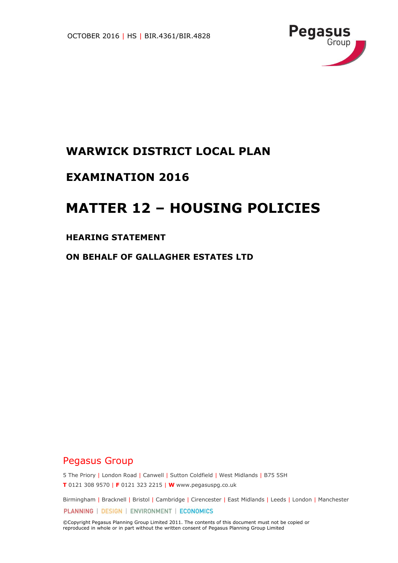

## **WARWICK DISTRICT LOCAL PLAN**

## **EXAMINATION 2016**

# **MATTER 12 – HOUSING POLICIES**

#### **HEARING STATEMENT**

**ON BEHALF OF GALLAGHER ESTATES LTD**

## Pegasus Group

5 The Priory | London Road | Canwell | Sutton Coldfield | West Midlands | B75 5SH **T** 0121 308 9570 | **F** 0121 323 2215 | **W** www.pegasuspg.co.uk

Birmingham | Bracknell | Bristol | Cambridge | Cirencester | East Midlands | Leeds | London | Manchester PLANNING | DESIGN | ENVIRONMENT | ECONOMICS

©Copyright Pegasus Planning Group Limited 2011. The contents of this document must not be copied or reproduced in whole or in part without the written consent of Pegasus Planning Group Limited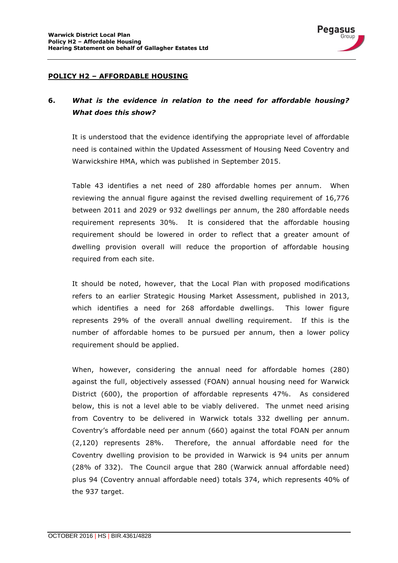

### **6.** *What is the evidence in relation to the need for affordable housing? What does this show?*

It is understood that the evidence identifying the appropriate level of affordable need is contained within the Updated Assessment of Housing Need Coventry and Warwickshire HMA, which was published in September 2015.

Pegasus Grour

Table 43 identifies a net need of 280 affordable homes per annum. When reviewing the annual figure against the revised dwelling requirement of 16,776 between 2011 and 2029 or 932 dwellings per annum, the 280 affordable needs requirement represents 30%. It is considered that the affordable housing requirement should be lowered in order to reflect that a greater amount of dwelling provision overall will reduce the proportion of affordable housing required from each site.

It should be noted, however, that the Local Plan with proposed modifications refers to an earlier Strategic Housing Market Assessment, published in 2013, which identifies a need for 268 affordable dwellings. This lower figure represents 29% of the overall annual dwelling requirement. If this is the number of affordable homes to be pursued per annum, then a lower policy requirement should be applied.

When, however, considering the annual need for affordable homes (280) against the full, objectively assessed (FOAN) annual housing need for Warwick District (600), the proportion of affordable represents 47%. As considered below, this is not a level able to be viably delivered. The unmet need arising from Coventry to be delivered in Warwick totals 332 dwelling per annum. Coventry's affordable need per annum (660) against the total FOAN per annum (2,120) represents 28%. Therefore, the annual affordable need for the Coventry dwelling provision to be provided in Warwick is 94 units per annum (28% of 332). The Council argue that 280 (Warwick annual affordable need) plus 94 (Coventry annual affordable need) totals 374, which represents 40% of the 937 target.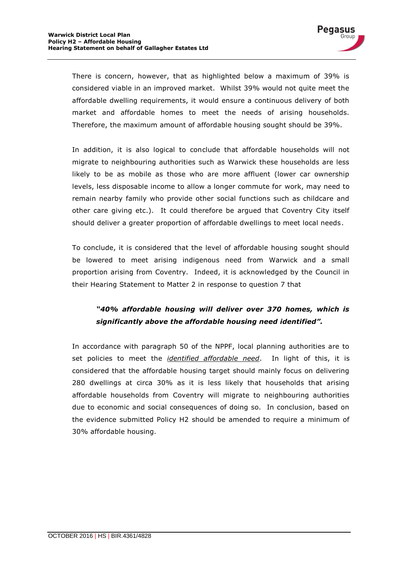

There is concern, however, that as highlighted below a maximum of 39% is considered viable in an improved market. Whilst 39% would not quite meet the affordable dwelling requirements, it would ensure a continuous delivery of both market and affordable homes to meet the needs of arising households. Therefore, the maximum amount of affordable housing sought should be 39%.

In addition, it is also logical to conclude that affordable households will not migrate to neighbouring authorities such as Warwick these households are less likely to be as mobile as those who are more affluent (lower car ownership levels, less disposable income to allow a longer commute for work, may need to remain nearby family who provide other social functions such as childcare and other care giving etc.). It could therefore be argued that Coventry City itself should deliver a greater proportion of affordable dwellings to meet local needs.

To conclude, it is considered that the level of affordable housing sought should be lowered to meet arising indigenous need from Warwick and a small proportion arising from Coventry. Indeed, it is acknowledged by the Council in their Hearing Statement to Matter 2 in response to question 7 that

### *"40% affordable housing will deliver over 370 homes, which is significantly above the affordable housing need identified".*

In accordance with paragraph 50 of the NPPF, local planning authorities are to set policies to meet the *identified affordable need*. In light of this, it is considered that the affordable housing target should mainly focus on delivering 280 dwellings at circa 30% as it is less likely that households that arising affordable households from Coventry will migrate to neighbouring authorities due to economic and social consequences of doing so. In conclusion, based on the evidence submitted Policy H2 should be amended to require a minimum of 30% affordable housing.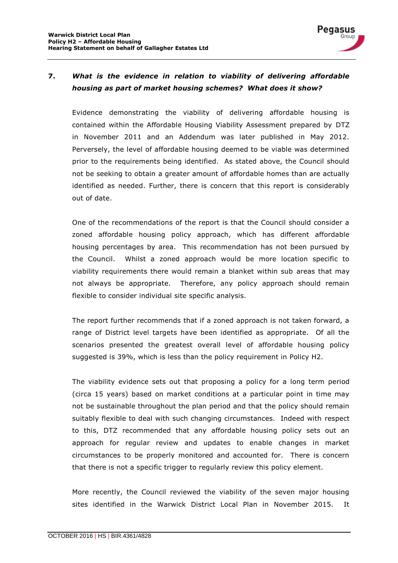

#### **7.** *What is the evidence in relation to viability of delivering affordable housing as part of market housing schemes? What does it show?*

Evidence demonstrating the viability of delivering affordable housing is contained within the Affordable Housing Viability Assessment prepared by DTZ in November 2011 and an Addendum was later published in May 2012. Perversely, the level of affordable housing deemed to be viable was determined prior to the requirements being identified. As stated above, the Council should not be seeking to obtain a greater amount of affordable homes than are actually identified as needed. Further, there is concern that this report is considerably out of date.

One of the recommendations of the report is that the Council should consider a zoned affordable housing policy approach, which has different affordable housing percentages by area. This recommendation has not been pursued by the Council. Whilst a zoned approach would be more location specific to viability requirements there would remain a blanket within sub areas that may not always be appropriate. Therefore, any policy approach should remain flexible to consider individual site specific analysis.

The report further recommends that if a zoned approach is not taken forward, a range of District level targets have been identified as appropriate. Of all the scenarios presented the greatest overall level of affordable housing policy suggested is 39%, which is less than the policy requirement in Policy H2.

The viability evidence sets out that proposing a policy for a long term period (circa 15 years) based on market conditions at a particular point in time may not be sustainable throughout the plan period and that the policy should remain suitably flexible to deal with such changing circumstances. Indeed with respect to this, DTZ recommended that any affordable housing policy sets out an approach for regular review and updates to enable changes in market circumstances to be properly monitored and accounted for. There is concern that there is not a specific trigger to regularly review this policy element.

More recently, the Council reviewed the viability of the seven major housing sites identified in the Warwick District Local Plan in November 2015. It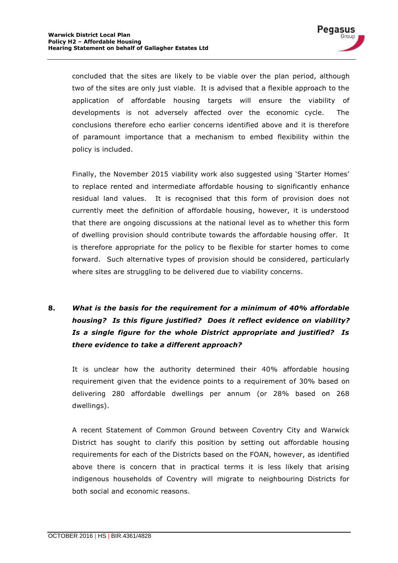

concluded that the sites are likely to be viable over the plan period, although two of the sites are only just viable. It is advised that a flexible approach to the application of affordable housing targets will ensure the viability of developments is not adversely affected over the economic cycle. The conclusions therefore echo earlier concerns identified above and it is therefore of paramount importance that a mechanism to embed flexibility within the policy is included.

Finally, the November 2015 viability work also suggested using 'Starter Homes' to replace rented and intermediate affordable housing to significantly enhance residual land values. It is recognised that this form of provision does not currently meet the definition of affordable housing, however, it is understood that there are ongoing discussions at the national level as to whether this form of dwelling provision should contribute towards the affordable housing offer. It is therefore appropriate for the policy to be flexible for starter homes to come forward. Such alternative types of provision should be considered, particularly where sites are struggling to be delivered due to viability concerns.

## **8.** *What is the basis for the requirement for a minimum of 40% affordable housing? Is this figure justified? Does it reflect evidence on viability? Is a single figure for the whole District appropriate and justified? Is there evidence to take a different approach?*

It is unclear how the authority determined their 40% affordable housing requirement given that the evidence points to a requirement of 30% based on delivering 280 affordable dwellings per annum (or 28% based on 268 dwellings).

A recent Statement of Common Ground between Coventry City and Warwick District has sought to clarify this position by setting out affordable housing requirements for each of the Districts based on the FOAN, however, as identified above there is concern that in practical terms it is less likely that arising indigenous households of Coventry will migrate to neighbouring Districts for both social and economic reasons.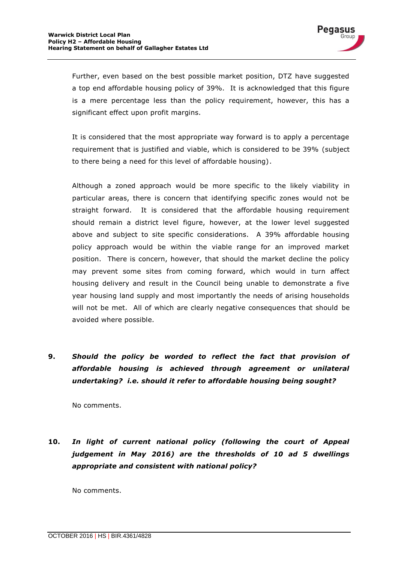

Further, even based on the best possible market position, DTZ have suggested a top end affordable housing policy of 39%. It is acknowledged that this figure is a mere percentage less than the policy requirement, however, this has a significant effect upon profit margins.

It is considered that the most appropriate way forward is to apply a percentage requirement that is justified and viable, which is considered to be 39% (subject to there being a need for this level of affordable housing).

Although a zoned approach would be more specific to the likely viability in particular areas, there is concern that identifying specific zones would not be straight forward. It is considered that the affordable housing requirement should remain a district level figure, however, at the lower level suggested above and subject to site specific considerations. A 39% affordable housing policy approach would be within the viable range for an improved market position. There is concern, however, that should the market decline the policy may prevent some sites from coming forward, which would in turn affect housing delivery and result in the Council being unable to demonstrate a five year housing land supply and most importantly the needs of arising households will not be met. All of which are clearly negative consequences that should be avoided where possible.

**9.** *Should the policy be worded to reflect the fact that provision of affordable housing is achieved through agreement or unilateral undertaking? i.e. should it refer to affordable housing being sought?*

No comments.

**10.** *In light of current national policy (following the court of Appeal judgement in May 2016) are the thresholds of 10 ad 5 dwellings appropriate and consistent with national policy?*

No comments.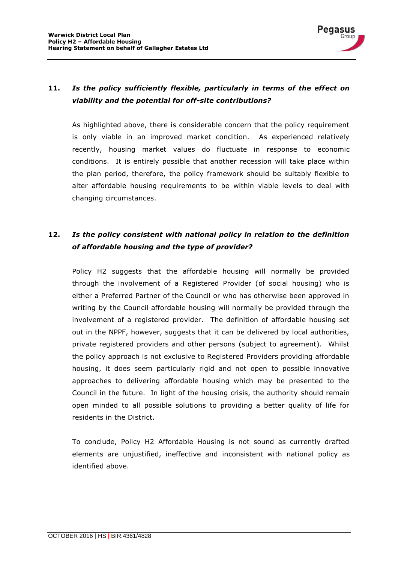

#### **11.** *Is the policy sufficiently flexible, particularly in terms of the effect on viability and the potential for off-site contributions?*

As highlighted above, there is considerable concern that the policy requirement is only viable in an improved market condition. As experienced relatively recently, housing market values do fluctuate in response to economic conditions. It is entirely possible that another recession will take place within the plan period, therefore, the policy framework should be suitably flexible to alter affordable housing requirements to be within viable levels to deal with changing circumstances.

### **12.** *Is the policy consistent with national policy in relation to the definition of affordable housing and the type of provider?*

Policy H2 suggests that the affordable housing will normally be provided through the involvement of a Registered Provider (of social housing) who is either a Preferred Partner of the Council or who has otherwise been approved in writing by the Council affordable housing will normally be provided through the involvement of a registered provider. The definition of affordable housing set out in the NPPF, however, suggests that it can be delivered by local authorities, private registered providers and other persons (subject to agreement). Whilst the policy approach is not exclusive to Registered Providers providing affordable housing, it does seem particularly rigid and not open to possible innovative approaches to delivering affordable housing which may be presented to the Council in the future. In light of the housing crisis, the authority should remain open minded to all possible solutions to providing a better quality of life for residents in the District.

To conclude, Policy H2 Affordable Housing is not sound as currently drafted elements are unjustified, ineffective and inconsistent with national policy as identified above.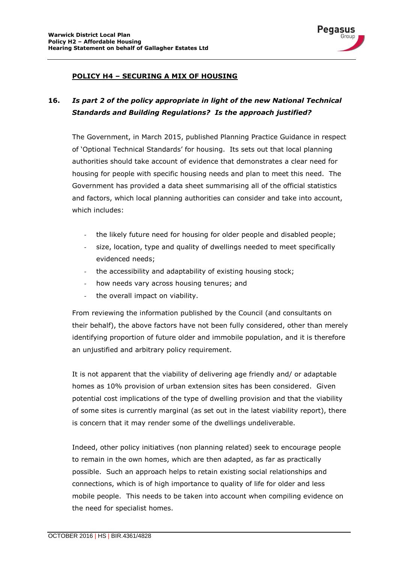

#### **POLICY H4 – SECURING A MIX OF HOUSING**

### **16.** *Is part 2 of the policy appropriate in light of the new National Technical Standards and Building Regulations? Is the approach justified?*

The Government, in March 2015, published Planning Practice Guidance in respect of 'Optional Technical Standards' for housing. Its sets out that local planning authorities should take account of evidence that demonstrates a clear need for housing for people with specific housing needs and plan to meet this need. The Government has provided a data sheet summarising all of the official statistics and factors, which local planning authorities can consider and take into account, which includes:

- the likely future need for housing for older people and disabled people;
- size, location, type and quality of dwellings needed to meet specifically evidenced needs;
- the accessibility and adaptability of existing housing stock;
- how needs vary across housing tenures; and
- the overall impact on viability.

From reviewing the information published by the Council (and consultants on their behalf), the above factors have not been fully considered, other than merely identifying proportion of future older and immobile population, and it is therefore an unjustified and arbitrary policy requirement.

It is not apparent that the viability of delivering age friendly and/ or adaptable homes as 10% provision of urban extension sites has been considered. Given potential cost implications of the type of dwelling provision and that the viability of some sites is currently marginal (as set out in the latest viability report), there is concern that it may render some of the dwellings undeliverable.

Indeed, other policy initiatives (non planning related) seek to encourage people to remain in the own homes, which are then adapted, as far as practically possible. Such an approach helps to retain existing social relationships and connections, which is of high importance to quality of life for older and less mobile people. This needs to be taken into account when compiling evidence on the need for specialist homes.